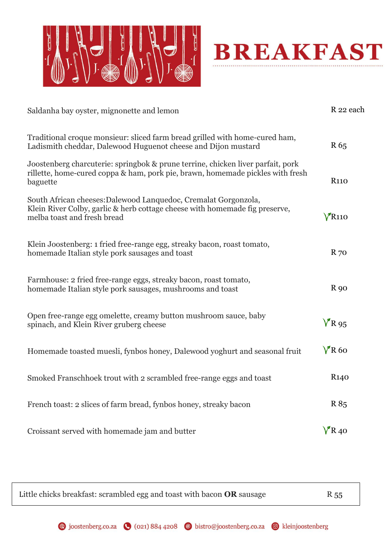



| Saldanha bay oyster, mignonette and lemon                                                                                                                                     |                      |
|-------------------------------------------------------------------------------------------------------------------------------------------------------------------------------|----------------------|
| Traditional croque monsieur: sliced farm bread grilled with home-cured ham,<br>Ladismith cheddar, Dalewood Huguenot cheese and Dijon mustard                                  | R 65                 |
| Joostenberg charcuterie: springbok & prune terrine, chicken liver parfait, pork<br>rillette, home-cured coppa & ham, pork pie, brawn, homemade pickles with fresh<br>baguette | <b>R110</b>          |
| South African cheeses: Dalewood Lanquedoc, Cremalat Gorgonzola,<br>Klein River Colby, garlic & herb cottage cheese with homemade fig preserve,<br>melba toast and fresh bread | $V$ R <sub>110</sub> |
| Klein Joostenberg: 1 fried free-range egg, streaky bacon, roast tomato,<br>homemade Italian style pork sausages and toast                                                     | $R_{70}$             |
| Farmhouse: 2 fried free-range eggs, streaky bacon, roast tomato,<br>homemade Italian style pork sausages, mushrooms and toast                                                 | <b>R</b> 90          |
| Open free-range egg omelette, creamy button mushroom sauce, baby<br>spinach, and Klein River gruberg cheese                                                                   | $V$ R 95             |
| Homemade toasted muesli, fynbos honey, Dalewood yoghurt and seasonal fruit                                                                                                    | $V$ R60              |
| Smoked Franschhoek trout with 2 scrambled free-range eggs and toast                                                                                                           | R <sub>140</sub>     |
| French toast: 2 slices of farm bread, fynbos honey, streaky bacon                                                                                                             | R 85                 |
| Croissant served with homemade jam and butter                                                                                                                                 | $V$ R <sub>40</sub>  |

 Little chicks breakfast: scrambled egg and toast with bacon  $OR$  sausage  $R$  55